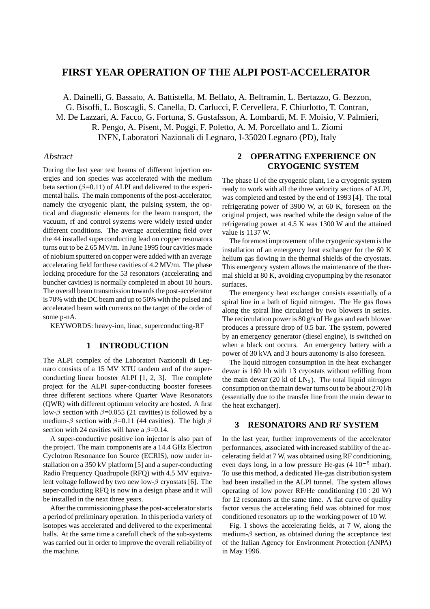# **FIRST YEAR OPERATION OF THE ALPI POST-ACCELERATOR**

A. Dainelli, G. Bassato, A. Battistella, M. Bellato, A. Beltramin, L. Bertazzo, G. Bezzon, G. Bisoffi, L. Boscagli, S. Canella, D. Carlucci, F. Cervellera, F. Chiurlotto, T. Contran, M. De Lazzari, A. Facco, G. Fortuna, S. Gustafsson, A. Lombardi, M. F. Moisio, V. Palmieri, R. Pengo, A. Pisent, M. Poggi, F. Poletto, A. M. Porcellato and L. Ziomi INFN, Laboratori Nazionali di Legnaro, I-35020 Legnaro (PD), Italy

## Abstract

During the last year test beams of different injection energies and ion species was accelerated with the medium beta section  $(\beta=0.11)$  of ALPI and delivered to the experimental halls. The main components of the post-accelerator, namely the cryogenic plant, the pulsing system, the optical and diagnostic elements for the beam transport, the vacuum, rf and control systems were widely tested under different conditions. The average accelerating field over the 44 installed superconducting lead on copper resonators turns out to be 2.65 MV/m. In June 1995 four cavities made of niobium sputtered on copper were added with an average accelerating field for these cavities of 4.2 MV/m. The phase locking procedure for the 53 resonators (accelerating and buncher cavities) is normally completed in about 10 hours. The overall beam transmission towards the post-accelerator is 70% with the DC beam and up to 50% with the pulsed and accelerated beam with currents on the target of the order of some p-nA.

KEYWORDS: heavy-ion, linac, superconducting-RF

## **1 INTRODUCTION**

The ALPI complex of the Laboratori Nazionali di Legnaro consists of a 15 MV XTU tandem and of the superconducting linear booster ALPI [1, 2, 3]. The complete project for the ALPI super-conducting booster foresees three different sections where Quarter Wave Resonators (QWR) with different optimum velocity are hosted. A first low- $\beta$  section with  $\beta$ =0.055 (21 cavities) is followed by a medium- $\beta$  section with  $\beta$ =0.11 (44 cavities). The high  $\beta$ section with 24 cavities will have a  $\beta$ =0.14.

A super-conductive positive ion injector is also part of the project. The main components are a 14.4 GHz Electron Cyclotron Resonance Ion Source (ECRIS), now under installation on a 350 kV platform [5] and a super-conducting Radio Frequency Quadrupole (RFQ) with 4.5 MV equivalent voltage followed by two new low- $\beta$  cryostats [6]. The super-conducting RFQ is now in a design phase and it will be installed in the next three years.

After the commissioning phase the post-accelerator starts a period of preliminary operation. In this period a variety of isotopes was accelerated and delivered to the experimental halls. At the same time a carefull check of the sub-systems was carried out in order to improve the overall reliability of the machine.

## **2 OPERATING EXPERIENCE ON CRYOGENIC SYSTEM**

The phase II of the cryogenic plant, i.e a cryogenic system ready to work with all the three velocity sections of ALPI, was completed and tested by the end of 1993 [4]. The total refrigerating power of 3900 W, at 60 K, foreseen on the original project, was reached while the design value of the refrigerating power at 4.5 K was 1300 W and the attained value is 1137 W.

The foremost improvement of the cryogenic system is the installation of an emergency heat exchanger for the 60 K helium gas flowing in the thermal shields of the cryostats. This emergency system allows the maintenance of the thermal shield at 80 K, avoiding cryopumping by the resonator surfaces.

The emergency heat exchanger consists essentially of a spiral line in a bath of liquid nitrogen. The He gas flows along the spiral line circulated by two blowers in series. The recirculation power is 80 g/s of He gas and each blower produces a pressure drop of 0.5 bar. The system, powered by an emergency generator (diesel engine), is switched on when a black out occurs. An emergency battery with a power of 30 kVA and 3 hours autonomy is also foreseen.

The liquid nitrogen consumption in the heat exchanger dewar is 160 l/h with 13 cryostats without refilling from the main dewar (20 kl of  $LN_2$ ). The total liquid nitrogen consumption on the main dewar turns out to be about 270 l/h (essentially due to the transfer line from the main dewar to the heat exchanger).

#### **3 RESONATORS AND RF SYSTEM**

In the last year, further improvements of the accelerator performances, associated with increased stability of the accelerating field at 7 W, was obtained using RF conditioning, even days long, in a low pressure He-gas  $(4 \cdot 10^{-5} \text{ mbar}).$ To use this method, a dedicated He-gas distribution system had been installed in the ALPI tunnel. The system allows operating of low power RF/He conditioning  $(10\div 20 \text{ W})$ for 12 resonators at the same time. A flat curve of quality factor versus the accelerating field was obtained for most conditioned resonators up to the working power of 10 W.

Fig. 1 shows the accelerating fields, at 7 W, along the medium- $\beta$  section, as obtained during the acceptance test of the Italian Agency for Environment Protection (ANPA) in May 1996.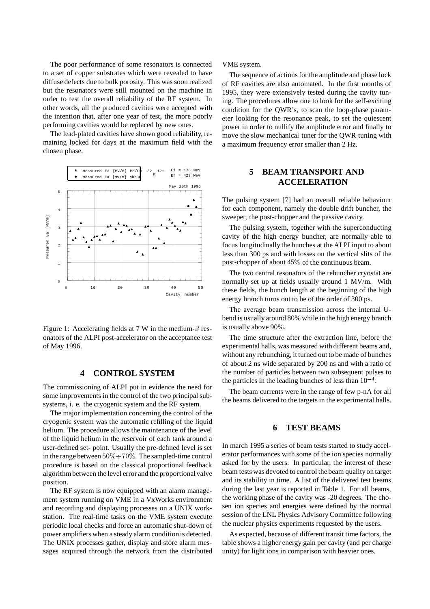The poor performance of some resonators is connected to a set of copper substrates which were revealed to have diffuse defects due to bulk porosity. This was soon realized but the resonators were still mounted on the machine in order to test the overall reliability of the RF system. In other words, all the produced cavities were accepted with the intention that, after one year of test, the more poorly performing cavities would be replaced by new ones.

The lead-plated cavities have shown good reliability, remaining locked for days at the maximum field with the chosen phase.



Figure 1: Accelerating fields at 7 W in the medium- $\beta$  resonators of the ALPI post-accelerator on the acceptance test of May 1996.

### **4 CONTROL SYSTEM**

The commissioning of ALPI put in evidence the need for some improvements in the control of the two principal subsystems, i. e. the cryogenic system and the RF system.

The major implementation concerning the control of the cryogenic system was the automatic refilling of the liquid helium. The procedure allows the maintenance of the level of the liquid helium in the reservoir of each tank around a user-defined set- point. Usually the pre-defined level is set in the range between  $50\% \div 70\%$ . The sampled-time control procedure is based on the classical proportional feedback algorithm between the level error and the proportional valve position.

The RF system is now equipped with an alarm management system running on VME in a VxWorks environment and recording and displaying processes on a UNIX workstation. The real-time tasks on the VME system execute periodic local checks and force an automatic shut-down of power amplifiers when a steady alarm condition is detected. The UNIX processes gather, display and store alarm messages acquired through the network from the distributed

VME system.

The sequence of actions for the amplitude and phase lock of RF cavities are also automated. In the first months of 1995, they were extensively tested during the cavity tuning. The procedures allow one to look for the self-exciting condition for the QWR's, to scan the loop-phase parameter looking for the resonance peak, to set the quiescent power in order to nullify the amplitude error and finally to move the slow mechanical tuner for the QWR tuning with a maximum frequency error smaller than 2 Hz.

## **5 BEAM TRANSPORT AND ACCELERATION**

The pulsing system [7] had an overall reliable behaviour for each component, namely the double drift buncher, the sweeper, the post-chopper and the passive cavity.

The pulsing system, together with the superconducting cavity of the high energy buncher, are normally able to focus longitudinally the bunches at the ALPI input to about less than 300 ps and with losses on the vertical slits of the post-chopper of about 45% of the continuous beam.

The two central resonators of the rebuncher cryostat are normally set up at fields usually around 1 MV/m. With these fields, the bunch length at the beginning of the high energy branch turns out to be of the order of 300 ps.

The average beam transmission across the internal Ubend is usually around 80% while in the high energy branch is usually above 90%.

The time structure after the extraction line, before the experimental halls, was measured with different beams and, without any rebunching, it turned out to be made of bunches of about 2 ns wide separated by 200 ns and with a ratio of the number of particles between two subsequent pulses to the particles in the leading bunches of less than  $10^{-4}$ .

The beam currents were in the range of few p-nA for all the beams delivered to the targets in the experimental halls.

#### **6 TEST BEAMS**

In march 1995 a series of beam tests started to study accelerator performances with some of the ion species normally asked for by the users. In particular, the interest of these beam tests was devoted to control the beam quality on target and its stability in time. A list of the delivered test beams during the last year is reported in Table 1. For all beams, the working phase of the cavity was -20 degrees. The chosen ion species and energies were defined by the normal session of the LNL Physics Advisory Committee following the nuclear physics experiments requested by the users.

As expected, because of different transit time factors, the table shows a higher energy gain per cavity (and per charge unity) for light ions in comparison with heavier ones.